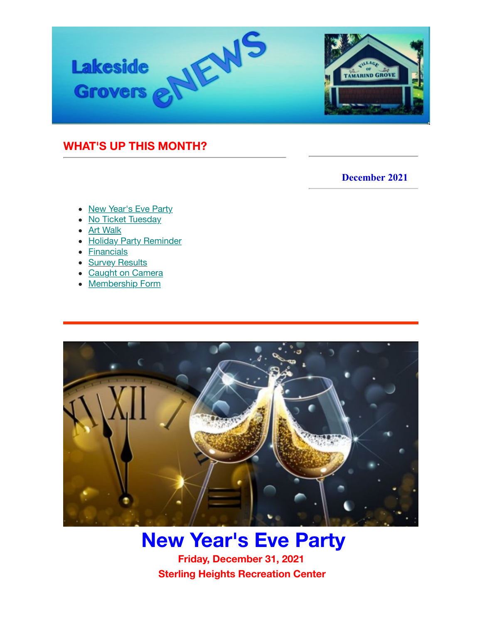

## <span id="page-0-0"></span>**WHAT'S UP THIS MONTH?**

### **December 2021**

- [New Year's Eve Party](https://us6.admin.mailchimp.com/campaigns/preview-content-html?id=5012033#Save%20the%20Date)
- [No Ticket Tuesday](#page-1-0)
- [Art Walk](https://us6.admin.mailchimp.com/campaigns/preview-content-html?id=5012033#Art%20Walk)
- [Holiday Party Reminder](#page-3-0)
- [Financials](#page-4-0)
- [Survey Results](#page-4-0)
- [Caught on Camera](#page-4-0)
- [Membership Form](#page-4-0)



# **New Year's Eve Party**

 **Friday, December 31, 2021 Sterling Heights Recreation Center**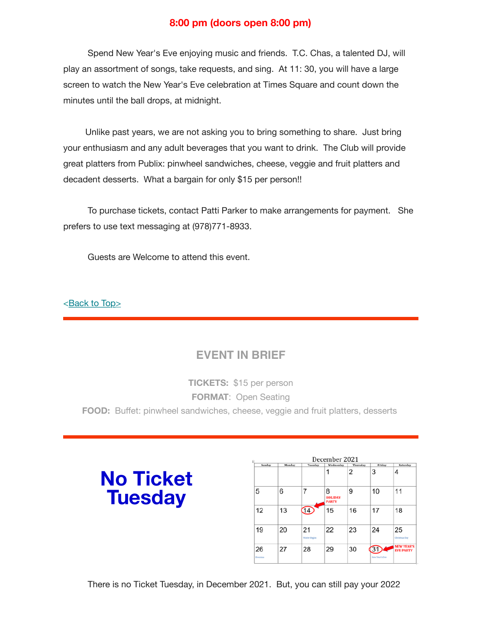### **8:00 pm (doors open 8:00 pm)**

 Spend New Year's Eve enjoying music and friends. T.C. Chas, a talented DJ, will play an assortment of songs, take requests, and sing. At 11: 30, you will have a large screen to watch the New Year's Eve celebration at Times Square and count down the minutes until the ball drops, at midnight.

 Unlike past years, we are not asking you to bring something to share. Just bring your enthusiasm and any adult beverages that you want to drink. The Club will provide great platters from Publix: pinwheel sandwiches, cheese, veggie and fruit platters and decadent desserts. What a bargain for only \$15 per person!!

 To purchase tickets, contact Patti Parker to make arrangements for payment. She prefers to use text messaging at (978)771-8933.

Guests are Welcome to attend this event.

#### [<Back to Top>](#page-0-0)

## **EVENT IN BRIEF**

**TICKETS:** \$15 per person **FORMAT**: Open Seating **FOOD:** Buffet: pinwheel sandwiches, cheese, veggie and fruit platters, desserts

# <span id="page-1-0"></span>**No Ticket Tuesday**

| December 2021<br>羽 |        |                            |                                     |          |                               |                                       |
|--------------------|--------|----------------------------|-------------------------------------|----------|-------------------------------|---------------------------------------|
| Sunday             | Monday | Tuesday                    | Wednesday                           | Thursday | Friday                        | Saturday                              |
|                    |        |                            | 1                                   | 2        | 3                             | 4                                     |
| 5                  | 6      | 7                          | 8<br><b>HOLIDAY</b><br><b>PARTY</b> | 9        | 10                            | 11                                    |
| 12                 | 13     | 14)                        | 15                                  | 16       | 17                            | 18                                    |
| 19                 | 20     | 21<br><b>Winter Begins</b> | 22                                  | 23       | 24                            | 25<br><b>Christmas Day</b>            |
| 26<br>Kwassaa      | 27     | 28                         | 29                                  | 30       | $3^{\circ}$<br>New Year's Eve | <b>NEW YEAR'S</b><br><b>EVE PARTY</b> |

There is no Ticket Tuesday, in December 2021. But, you can still pay your 2022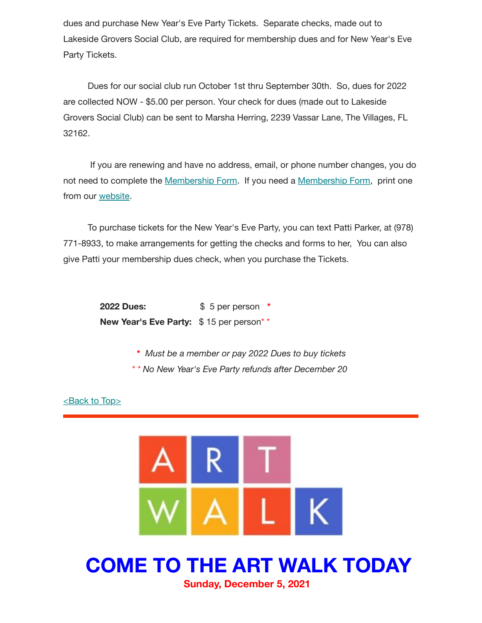dues and purchase New Year's Eve Party Tickets. Separate checks, made out to Lakeside Grovers Social Club, are required for membership dues and for New Year's Eve Party Tickets.

 Dues for our social club run October 1st thru September 30th. So, dues for 2022 are collected NOW - \$5.00 per person. Your check for dues (made out to Lakeside Grovers Social Club) can be sent to Marsha Herring, 2239 Vassar Lane, The Villages, FL 32162.

 If you are renewing and have no address, email, or phone number changes, you do not need to complete the [Membership Form](https://www.lakesidegrovers.com/uploads/9/5/2/3/95239902/2022_membership_form_v2.pdf). If you need a [Membership Form](https://www.lakesidegrovers.com/uploads/9/5/2/3/95239902/2022_membership_form_v2.pdf), print one from our [website.](https://www.lakesidegrovers.com/uploads/9/5/2/3/95239902/2022_membership_form_v2.pdf)

 To purchase tickets for the New Year's Eve Party, you can text Patti Parker, at (978) 771-8933, to make arrangements for getting the checks and forms to her, You can also give Patti your membership dues check, when you purchase the Tickets.

> **2022 Dues:** \$ 5 per person **\***  New Year's Eve Party: \$15 per person<sup>\*\*</sup>

> > **\*** *Must be a member or pay 2022 Dues to buy tickets \* \* No New Year's Eve Party refunds after December 20*

 $\leq$ Back to Top $\geq$ 



## **COME TO THE ART WALK TODAY Sunday, December 5, 2021**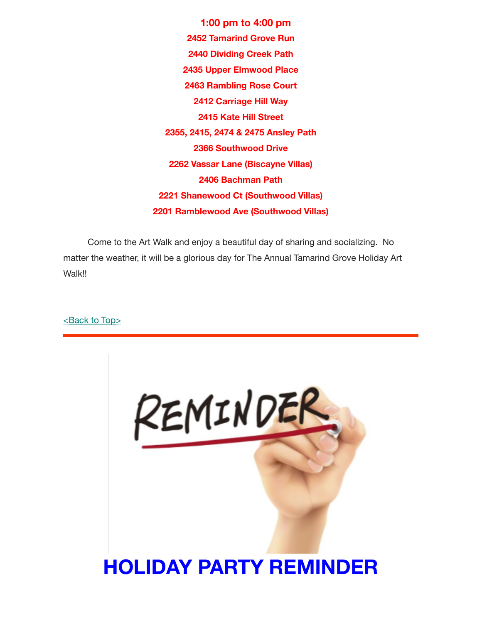**1:00 pm to 4:00 pm 2452 Tamarind Grove Run 2440 Dividing Creek Path 2435 Upper Elmwood Place 2463 Rambling Rose Court 2412 Carriage Hill Way 2415 Kate Hill Street 2355, 2415, 2474 & 2475 Ansley Path 2366 Southwood Drive 2262 Vassar Lane (Biscayne Villas) 2406 Bachman Path 2221 Shanewood Ct (Southwood Villas) 2201 Ramblewood Ave (Southwood Villas)**

 Come to the Art Walk and enjoy a beautiful day of sharing and socializing. No matter the weather, it will be a glorious day for The Annual Tamarind Grove Holiday Art Walk!!

#### [<Back to Top>](#page-0-0)

<span id="page-3-0"></span>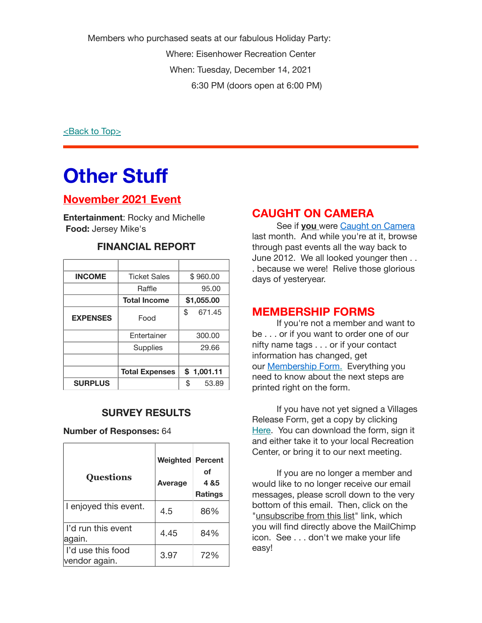Members who purchased seats at our fabulous Holiday Party: Where: Eisenhower Recreation Center When: Tuesday, December 14, 2021 6:30 PM (doors open at 6:00 PM)

[<Back to Top>](#page-0-0)

# <span id="page-4-0"></span>**Other Stuff**

## **November 2021 Event**

**Entertainment**: Rocky and Michelle **Food:** Jersey Mike's

| <b>INCOME</b>   | <b>Ticket Sales</b>   | \$960.00     |  |
|-----------------|-----------------------|--------------|--|
|                 | Raffle                | 95.00        |  |
|                 | <b>Total Income</b>   | \$1,055.00   |  |
| <b>EXPENSES</b> | Food                  | \$<br>671.45 |  |
|                 | Entertainer           | 300.00       |  |
|                 | Supplies              | 29.66        |  |
|                 |                       |              |  |
|                 | <b>Total Expenses</b> | \$1,001.11   |  |
| <b>SURPLUS</b>  |                       | \$<br>53.89  |  |

### **FINANCIAL REPORT**

### **SURVEY RESULTS**

**Number of Responses:** 64

| <b>Questions</b>                     | <b>Weighted Percent</b><br>Average | οf<br>4 & 5<br><b>Ratings</b> |
|--------------------------------------|------------------------------------|-------------------------------|
| I enjoyed this event.                | 4.5                                | 86%                           |
| l'd run this event<br>again.         | 4.45                               | 84%                           |
| l I'd use this food<br>vendor again. | 3.97                               | 72%                           |

## **CAUGHT ON CAMERA**

 See if **you** were [Caught on Camera](https://www.lakesidegrovers.com/caught-on-camera.html) last month. And while you're at it, browse through past events all the way back to June 2012. We all looked younger then . . . because we were! Relive those glorious days of yesteryear.

### **MEMBERSHIP FORMS**

 If you're not a member and want to be . . . or if you want to order one of our nifty name tags . . . or if your contact information has changed, get our [Membership Form.](https://www.lakesidegrovers.com/uploads/9/5/2/3/95239902/2022_membership_form_v2.pdf) Everything you need to know about the next steps are printed right on the form.

 If you have not yet signed a Villages Release Form, get a copy by clicking [Here](https://www.districtgov.org/images/activity-release.pdf). You can download the form, sign it and either take it to your local Recreation Center, or bring it to our next meeting.

 If you are no longer a member and would like to no longer receive our email messages, please scroll down to the very bottom of this email. Then, click on the "unsubscribe from this list" link, which you will find directly above the MailChimp icon. See . . . don't we make your life easy!